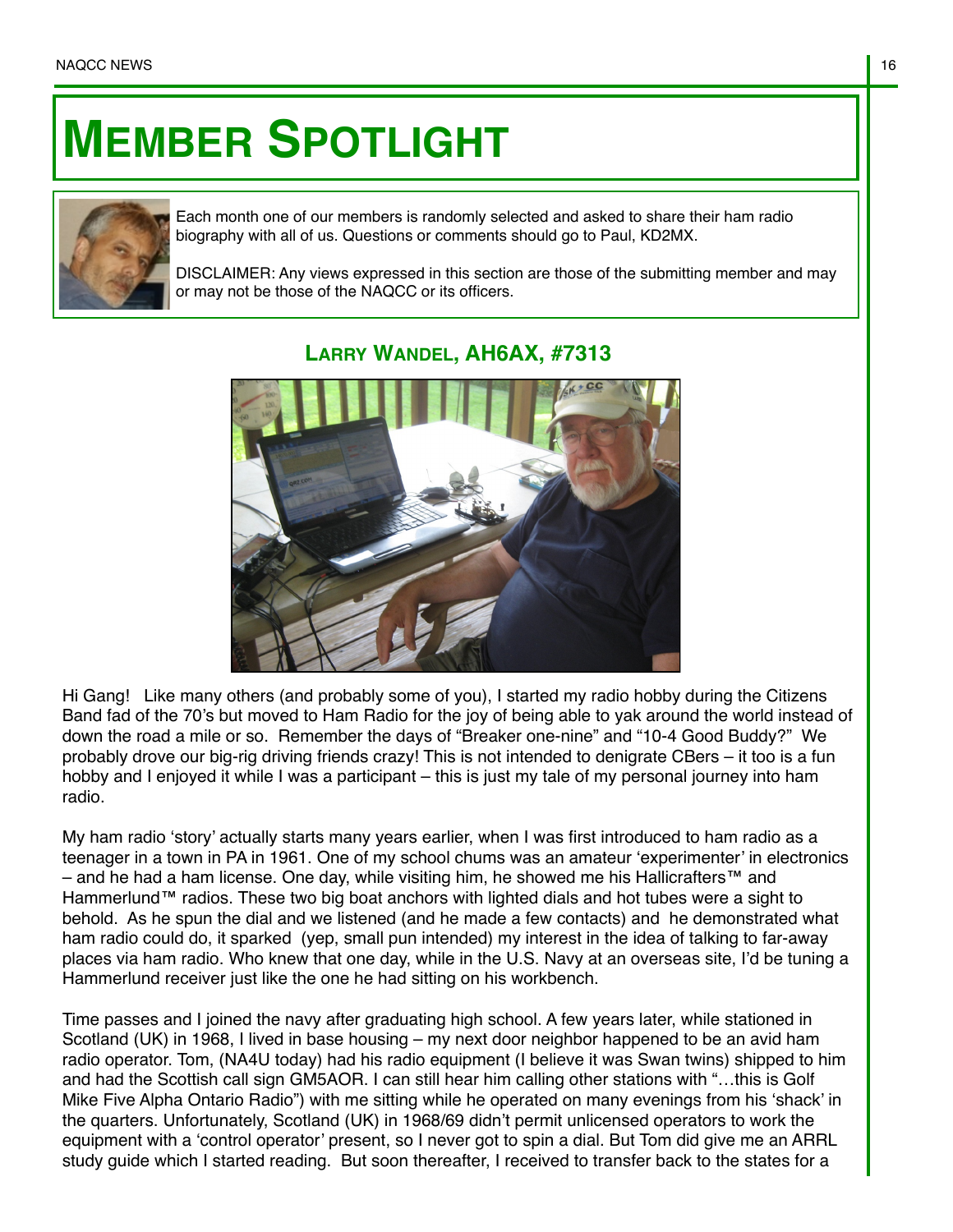## **MEMBER SPOTLIGHT**



Each month one of our members is randomly selected and asked to share their ham radio biography with all of us. Questions or comments should go to Paul, KD2MX.

DISCLAIMER: Any views expressed in this section are those of the submitting member and may or may not be those of the NAQCC or its officers.



## **LARRY WANDEL, AH6AX, #7313**

Hi Gang! Like many others (and probably some of you), I started my radio hobby during the Citizens Band fad of the 70's but moved to Ham Radio for the joy of being able to yak around the world instead of down the road a mile or so. Remember the days of "Breaker one-nine" and "10-4 Good Buddy?" We probably drove our big-rig driving friends crazy! This is not intended to denigrate CBers – it too is a fun hobby and I enjoyed it while I was a participant – this is just my tale of my personal journey into ham radio.

My ham radio 'story' actually starts many years earlier, when I was first introduced to ham radio as a teenager in a town in PA in 1961. One of my school chums was an amateur 'experimenter' in electronics – and he had a ham license. One day, while visiting him, he showed me his Hallicrafters™ and Hammerlund™ radios. These two big boat anchors with lighted dials and hot tubes were a sight to behold. As he spun the dial and we listened (and he made a few contacts) and he demonstrated what ham radio could do, it sparked (yep, small pun intended) my interest in the idea of talking to far-away places via ham radio. Who knew that one day, while in the U.S. Navy at an overseas site, I'd be tuning a Hammerlund receiver just like the one he had sitting on his workbench.

Time passes and I joined the navy after graduating high school. A few years later, while stationed in Scotland (UK) in 1968, I lived in base housing – my next door neighbor happened to be an avid ham radio operator. Tom, (NA4U today) had his radio equipment (I believe it was Swan twins) shipped to him and had the Scottish call sign GM5AOR. I can still hear him calling other stations with "…this is Golf Mike Five Alpha Ontario Radio") with me sitting while he operated on many evenings from his 'shack' in the quarters. Unfortunately, Scotland (UK) in 1968/69 didn't permit unlicensed operators to work the equipment with a 'control operator' present, so I never got to spin a dial. But Tom did give me an ARRL study guide which I started reading. But soon thereafter, I received to transfer back to the states for a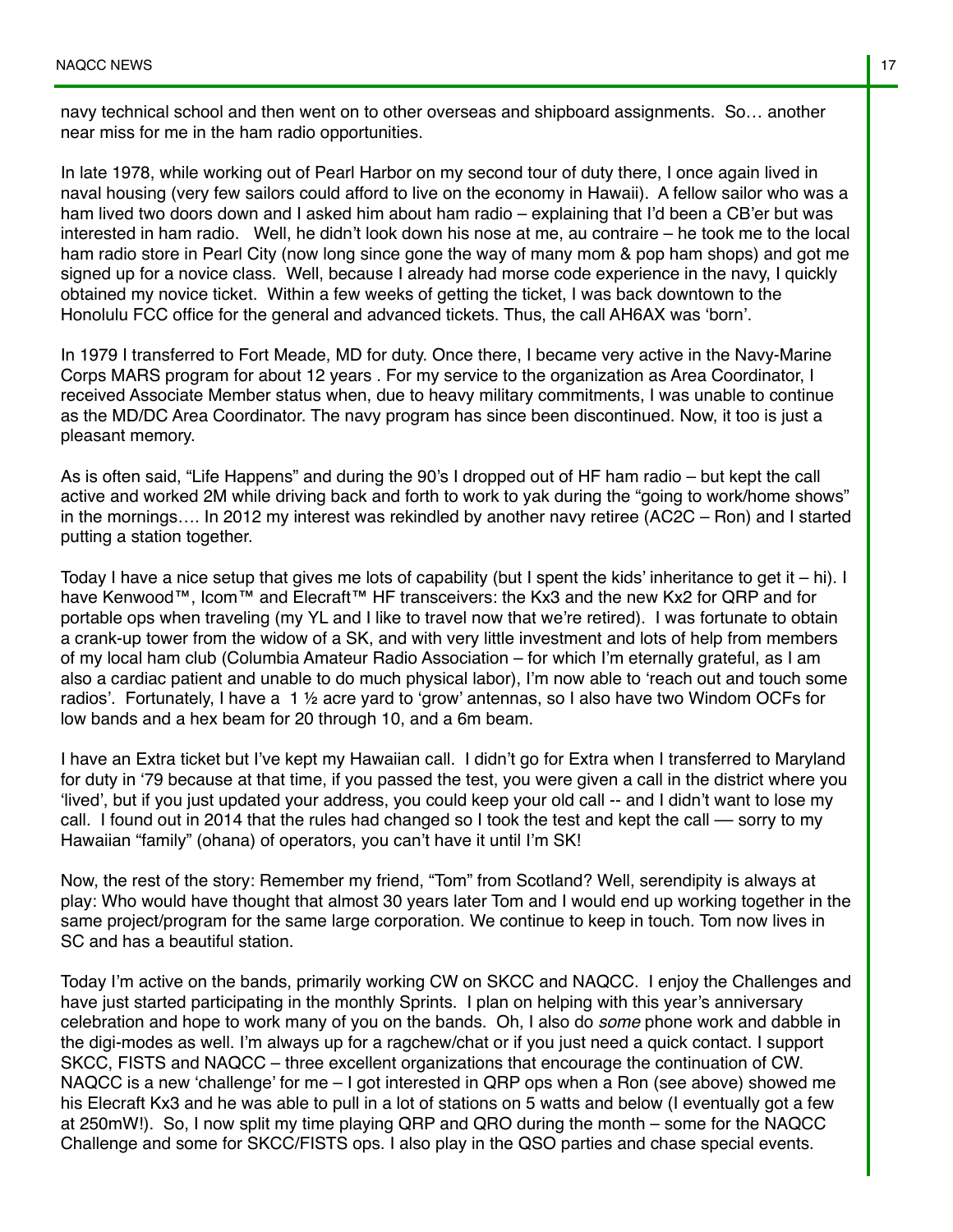navy technical school and then went on to other overseas and shipboard assignments. So… another near miss for me in the ham radio opportunities.

In late 1978, while working out of Pearl Harbor on my second tour of duty there, I once again lived in naval housing (very few sailors could afford to live on the economy in Hawaii). A fellow sailor who was a ham lived two doors down and I asked him about ham radio – explaining that I'd been a CB'er but was interested in ham radio. Well, he didn't look down his nose at me, au contraire – he took me to the local ham radio store in Pearl City (now long since gone the way of many mom & pop ham shops) and got me signed up for a novice class. Well, because I already had morse code experience in the navy, I quickly obtained my novice ticket. Within a few weeks of getting the ticket, I was back downtown to the Honolulu FCC office for the general and advanced tickets. Thus, the call AH6AX was 'born'.

In 1979 I transferred to Fort Meade, MD for duty. Once there, I became very active in the Navy-Marine Corps MARS program for about 12 years . For my service to the organization as Area Coordinator, I received Associate Member status when, due to heavy military commitments, I was unable to continue as the MD/DC Area Coordinator. The navy program has since been discontinued. Now, it too is just a pleasant memory.

As is often said, "Life Happens" and during the 90's I dropped out of HF ham radio – but kept the call active and worked 2M while driving back and forth to work to yak during the "going to work/home shows" in the mornings…. In 2012 my interest was rekindled by another navy retiree (AC2C – Ron) and I started putting a station together.

Today I have a nice setup that gives me lots of capability (but I spent the kids' inheritance to get it – hi). I have Kenwood™, Icom™ and Elecraft™ HF transceivers: the Kx3 and the new Kx2 for QRP and for portable ops when traveling (my YL and I like to travel now that we're retired). I was fortunate to obtain a crank-up tower from the widow of a SK, and with very little investment and lots of help from members of my local ham club (Columbia Amateur Radio Association – for which I'm eternally grateful, as I am also a cardiac patient and unable to do much physical labor), I'm now able to 'reach out and touch some radios'. Fortunately, I have a 1 ½ acre yard to 'grow' antennas, so I also have two Windom OCFs for low bands and a hex beam for 20 through 10, and a 6m beam.

I have an Extra ticket but I've kept my Hawaiian call. I didn't go for Extra when I transferred to Maryland for duty in '79 because at that time, if you passed the test, you were given a call in the district where you 'lived', but if you just updated your address, you could keep your old call -- and I didn't want to lose my call. I found out in 2014 that the rules had changed so I took the test and kept the call — sorry to my Hawaiian "family" (ohana) of operators, you can't have it until I'm SK!

Now, the rest of the story: Remember my friend, "Tom" from Scotland? Well, serendipity is always at play: Who would have thought that almost 30 years later Tom and I would end up working together in the same project/program for the same large corporation. We continue to keep in touch. Tom now lives in SC and has a beautiful station.

Today I'm active on the bands, primarily working CW on SKCC and NAQCC. I enjoy the Challenges and have just started participating in the monthly Sprints. I plan on helping with this year's anniversary celebration and hope to work many of you on the bands. Oh, I also do *some* phone work and dabble in the digi-modes as well. I'm always up for a ragchew/chat or if you just need a quick contact. I support SKCC, FISTS and NAQCC – three excellent organizations that encourage the continuation of CW. NAQCC is a new 'challenge' for me – I got interested in QRP ops when a Ron (see above) showed me his Elecraft Kx3 and he was able to pull in a lot of stations on 5 watts and below (I eventually got a few at 250mW!). So, I now split my time playing QRP and QRO during the month – some for the NAQCC Challenge and some for SKCC/FISTS ops. I also play in the QSO parties and chase special events.